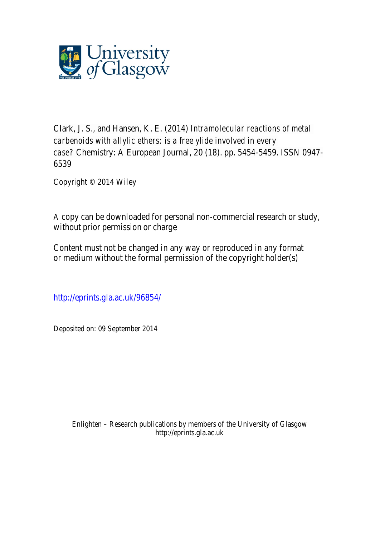

Clark, J. S., and Hansen, K. E. (2014) *Intramolecular reactions of metal carbenoids with allylic ethers: is a free ylide involved in every case?* Chemistry: A European Journal, 20 (18). pp. 5454-5459. ISSN 0947- 6539

Copyright © 2014 Wiley

A copy can be downloaded for personal non-commercial research or study, without prior permission or charge

Content must not be changed in any way or reproduced in any format or medium without the formal permission of the copyright holder(s)

http://eprints.gla.ac.uk/96854/

Deposited on: 09 September 2014

Enlighten – Research publications by members of the University of Glasgow http://eprints.gla.ac.uk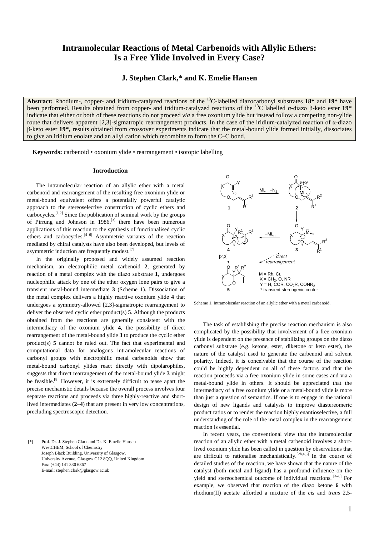# **Intramolecular Reactions of Metal Carbenoids with Allylic Ethers: Is a Free Ylide Involved in Every Case?**

## **J. Stephen Clark,\* and K. Emelie Hansen**

**Abstract:** Rhodium-, copper- and iridium-catalyzed reactions of the 13C-labelled diazocarbonyl substrates **18\*** and **19\*** have been performed. Results obtained from copper- and iridium-catalyzed reactions of the 13C labelled α-diazo β-keto ester **19\***  indicate that either or both of these reactions do not proceed *via* a free oxonium ylide but instead follow a competing non-ylide route that delivers apparent  $[2,3]$ -sigmatropic rearrangement products. In the case of the iridium-catalyzed reaction of α-diazo β-keto ester **19\*,** results obtained from crossover experiments indicate that the metal-bound ylide formed initially, dissociates to give an iridium enolate and an allyl cation which recombine to form the C–C bond.

**Keywords:** carbenoid • oxonium ylide • rearrangement • isotopic labelling

### **Introduction**

The intramolecular reaction of an allylic ether with a metal carbenoid and rearrangement of the resulting free oxonium ylide or metal-bound equivalent offers a potentially powerful catalytic approach to the stereoselective construction of cyclic ethers and carbocycles.<sup>[1,2]</sup> Since the publication of seminal work by the groups of Pirrung and Johnson in  $1986$ ,<sup>[3]</sup> there have been numerous applications of this reaction to the synthesis of functionalised cyclic ethers and carbocycles. $[4-6]$  Asymmetric variants of the reaction mediated by chiral catalysts have also been developed, but levels of asymmetric induction are frequently modest.<sup>[7]</sup>

In the originally proposed and widely assumed reaction mechanism, an electrophilic metal carbenoid **2**, generated by reaction of a metal complex with the diazo substrate **1**, undergoes nucleophilic attack by one of the ether oxygen lone pairs to give a transient metal-bound intermediate **3** (Scheme 1). Dissociation of the metal complex delivers a highly reactive oxonium ylide **4** that undergoes a symmetry-allowed [2,3]-sigmatropic rearrangement to deliver the observed cyclic ether product(s) **5**. Although the products obtained from the reactions are generally consistent with the intermediacy of the oxonium ylide **4**, the possibility of direct rearrangement of the metal-bound ylide **3** to produce the cyclic ether product(s) **5** cannot be ruled out. The fact that experimental and computational data for analogous intramolecular reactions of carbonyl groups with electrophilic metal carbenoids show that metal-bound carbonyl ylides react directly with dipolarophiles, suggests that direct rearrangement of the metal-bound ylide **3** might be feasible.<sup>[8]</sup> However, it is extremely difficult to tease apart the precise mechanistic details because the overall process involves four separate reactions and proceeds via three highly-reactive and shortlived intermediates (**2**–**4**) that are present in very low concentrations, precluding spectroscopic detection.

[\*] Prof. Dr. J. Stephen Clark and Dr. K. Emelie Hansen WestCHEM, School of Chemistry Joseph Black Building, University of Glasgow, University Avenue, Glasgow G12 8QQ, United Kingdom Fax: (+44) 141 330 6867 E-mail: stephen.clark@glasgow.ac.uk



Scheme 1. Intramolecular reaction of an allylic ether with a metal carbenoid.

The task of establishing the precise reaction mechanism is also complicated by the possibility that involvement of a free oxonium ylide is dependent on the presence of stabilizing groups on the diazo carbonyl substrate (e.g. ketone, ester, diketone or keto ester), the nature of the catalyst used to generate the carbenoid and solvent polarity. Indeed, it is conceivable that the course of the reaction could be highly dependent on all of these factors and that the reaction proceeds via a free oxonium ylide in some cases and via a metal-bound ylide in others. It should be appreciated that the intermediacy of a free oxonium ylide or a metal-bound ylide is more than just a question of semantics. If one is to engage in the rational design of new ligands and catalysts to improve diastereomeric product ratios or to render the reaction highly enantioselective, a full understanding of the role of the metal complex in the rearrangement reaction is essential.

In recent years, the conventional view that the intramolecular reaction of an allylic ether with a metal carbenoid involves a shortlived oxonium ylide has been called in question by observations that are difficult to rationalise mechanistically.<sup>[2h,4,5]</sup> In the course of detailed studies of the reaction, we have shown that the nature of the catalyst (both metal and ligand) has a profound influence on the yield and stereochemical outcome of individual reactions. [4–6] For example, we observed that reaction of the diazo ketone **6** with rhodium(II) acetate afforded a mixture of the *cis* and *trans* 2,5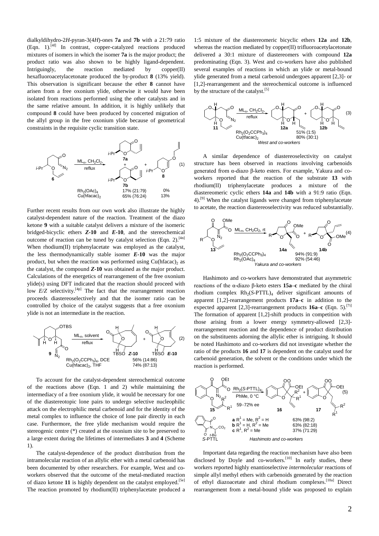dialkyldihydro-2*H*-pyran-3(4*H*)-ones **7a** and **7b** with a 21:79 ratio (Eqn. 1).[4f] In contrast, copper-catalyzed reactions produced mixtures of isomers in which the isomer **7a** is the major product; the product ratio was also shown to be highly ligand-dependent. Intriguingly, the reaction mediated by copper(II) hexafluoroacetylacetonate produced the by-product **8** (13% yield). This observation is significant because the ether **8** cannot have arisen from a free oxonium ylide, otherwise it would have been isolated from reactions performed using the other catalysts and in the same relative amount. In addition, it is highly unlikely that compound **8** could have been produced by concerted migration of the allyl group in the free oxonium ylide because of geometrical constraints in the requisite cyclic transition state.



Further recent results from our own work also illustrate the highly catalyst-dependent nature of the reaction. Treatment of the diazo ketone **9** with a suitable catalyst delivers a mixture of the isomeric bridged-bicyclic ethers *Z***-10** and *E***-10**, and the stereochemical outcome of reaction can be tuned by catalyst selection (Eqn. 2).<sup>[4n]</sup> When rhodium(II) triphenylacetate was employed as the catalyst, the less thermodynamically stable isomer *E***-10** was the major product, but when the reaction was performed using  $Cu(hfacac)$ <sub>2</sub> as the catalyst, the compound *Z***-10** was obtained as the major product. Calculations of the energetics of rearrangement of the free oxonium ylide(s) using DFT indicated that the reaction should proceed with low  $E/Z$  selectivity.<sup>[4p]</sup> The fact that the rearrangement reaction proceeds diastereoselectively and that the isomer ratio can be controlled by choice of the catalyst suggests that a free oxonium ylide is not an intermediate in the reaction.



To account for the catalyst-dependent stereochemical outcome of the reactions above (Eqn. 1 and 2) while maintaining the intermediacy of a free oxonium ylide, it would be necessary for one of the diastereotopic lone pairs to undergo selective nucleophilic attack on the electrophilic metal carbenoid and for the identity of the metal complex to influence the choice of lone pair directly in each case. Furthermore, the free ylide mechanism would require the stereogenic centre (\*) created at the oxonium site to be preserved to a large extent during the lifetimes of intermediates **3** and **4** (Scheme 1).

The catalyst-dependence of the product distribution from the intramolecular reaction of an allylic ether with a metal carbenoid has been documented by other researchers. For example, West and coworkers observed that the outcome of the metal-mediated reaction of diazo ketone 11 is highly dependent on the catalyst employed.<sup>[5e]</sup> The reaction promoted by rhodium(II) triphenylacetate produced a

1:5 mixture of the diastereomeric bicyclic ethers **12a** and **12b**, whereas the reaction mediated by copper(II) trifluoroacetylacetonate delivered a 30:1 mixture of diastereomers with compound **12a**  predominating (Eqn. 3). West and co-workers have also published several examples of reactions in which an ylide or metal-bound ylide generated from a metal carbenoid undergoes apparent [2,3]- or [1,2]-rearrangement and the stereochemical outcome is influenced by the structure of the catalyst.<sup>[5]</sup>



A similar dependence of diastereoselectivity on catalyst structure has been observed in reactions involving carbenoids generated from α-diazo β-keto esters. For example, Yakura and coworkers reported that the reaction of the substrate **13** with rhodium(II) triphenylacetate produces a mixture of the diastereomeric cyclic ethers **14a** and **14b** with a 91:9 ratio (Eqn. 4).<sup>[9]</sup> When the catalyst ligands were changed from triphenylacetate to acetate, the reaction diastereoselectivity was reduced substantially.



Hashimoto and co-workers have demonstrated that asymmetric reactions of the α-diazo β-keto esters **15a**–**c** mediated by the chiral rhodium complex  $Rh_2(S-PTTL)_4$  deliver significant amounts of apparent [1,2]-rearrangement products **17a**–**c** in addition to the expected apparent [2,3]**-**rearrangement products **16a**–**c** (Eqn. 5).[7i] The formation of apparent [1,2]-shift products in competition with those arising from a lower energy symmetry-allowed [2,3] rearrangement reaction and the dependence of product distribution on the substituents adorning the allylic ether is intriguing. It should be noted Hashimoto and co-workers did not investigate whether the ratio of the products **16** and **17** is dependent on the catalyst used for carbenoid generation, the solvent or the conditions under which the reaction is performed.



Important data regarding the reaction mechanism have also been disclosed by Doyle and co-workers.<sup>[10]</sup> In early studies, these workers reported highly enantioselective *intermolecular* reactions of simple allyl methyl ethers with carbenoids generated by the reaction of ethyl diazoacetate and chiral rhodium complexes.[10a] Direct rearrangement from a metal-bound ylide was proposed to explain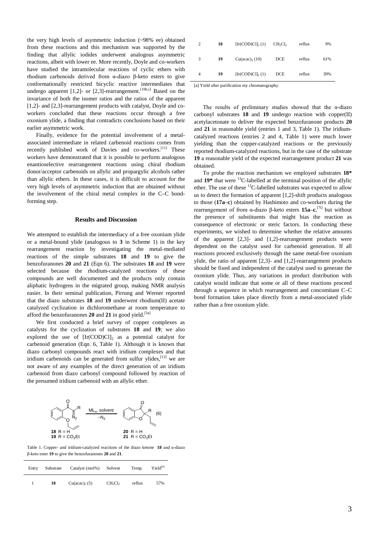the very high levels of asymmetric induction (~98% ee) obtained from these reactions and this mechanism was supported by the finding that allylic iodides underwent analogous asymmetric reactions, albeit with lower ee. More recently, Doyle and co-workers have studied the intramolecular reactions of cyclic ethers with rhodium carbenoids derived from α-diazo β-keto esters to give conformationally restricted bicyclic reactive intermediates that undergo apparent [1,2]- or [2,3]-rearrangement.<sup>[10b,c]</sup> Based on the invariance of both the isomer ratios and the ratios of the apparent [1,2]- and [2,3]-rearrangement products with catalyst, Doyle and coworkers concluded that these reactions occur through a free oxonium ylide, a finding that contradicts conclusions based on their earlier asymmetric work.

Finally, evidence for the potential involvement of a metalassociated intermediate in related carbenoid reactions comes from recently published work of Davies and co-workers.<sup>[11]</sup> These workers have demonstrated that it is possible to perform analogous enantioselective rearrangement reactions using chiral rhodium donor/acceptor carbenoids on allylic and propargylic alcohols rather than allylic ethers. In these cases, it is difficult to account for the very high levels of asymmetric induction that are obtained without the involvement of the chiral metal complex in the C–C bondforming step.

## **Results and Discussion**

We attempted to establish the intermediacy of a free oxonium ylide or a metal-bound ylide (analogous to **3** in Scheme 1) in the key rearrangement reaction by investigating the metal-mediated reactions of the simple substrates **18** and **19** to give the benzofuranones **20** and **21** (Eqn 6). The substrates **18** and **19** were selected because the rhodium-catalyzed reactions of these compounds are well documented and the products only contain aliphatic hydrogens in the migrated group, making NMR analysis easier. In their seminal publication, Pirrung and Werner reported that the diazo substrates **18** and **19** underwent rhodium(II) acetate catalyzed cyclization in dichloromethane at room temperature to afford the benzofuranones **20** and **21** in good yield.[3a]

We first conducted a brief survey of copper complexes as catalysts for the cyclization of substrates **18** and **19**; we also explored the use of  $[Ir(COD)Cl]_2$  as a potential catalyst for carbenoid generation (Eqn. 6, Table 1). Although it is known that diazo carbonyl compounds react with iridium complexes and that iridium carbenoids can be generated from sulfur ylides,<sup>[12]</sup> we are not aware of any examples of the direct generation of an iridium carbenoid from diazo carbonyl compound followed by reaction of the presumed iridium carbenoid with an allylic ether.



Table 1. Copper- and iridium-catalyzed reactions of the diazo ketone **18** and α-diazo β-keto ester **19** to give the benzofuranones **20** and **21**.

| Entry | Substrate | Catalyst (mol%)              | Solvent                         | Temp.  | Yield[a] |
|-------|-----------|------------------------------|---------------------------------|--------|----------|
|       | 18        | $Cu (acac)$ <sub>2</sub> (5) | CH <sub>2</sub> Cl <sub>2</sub> | reflux | 57%      |

| 2 | 18 | $[Ir(COD)Cl]$ <sub>2</sub> (1) | CH <sub>2</sub> Cl <sub>2</sub> | reflux | 9%  |
|---|----|--------------------------------|---------------------------------|--------|-----|
| 3 | 19 | $Cu (acac)$ , $(10)$           | DCE                             | reflux | 61% |
| 4 | 19 | $[Ir(COD)Cl]_2(1)$             | <b>DCE</b>                      | reflux | 39% |

[a] Yield after purification my chromatography.

The results of preliminary studies showed that the α-diazo carbonyl substrates **18** and **19** undergo reaction with copper(II) acetylacetonate to deliver the expected benzofuranone products **20**  and **21** in reasonable yield (entries 1 and 3, Table 1). The iridiumcatalyzed reactions (entries 2 and 4, Table 1) were much lower yielding than the copper-catalyzed reactions or the previously reported rhodium-catalyzed reactions, but in the case of the substrate **19** a reasonable yield of the expected rearrangement product **21** was obtained.

To probe the reaction mechanism we employed substrates **18\***  and  $19*$  that were <sup>13</sup>C-labelled at the terminal position of the allylic ether. The use of these  ${}^{13}$ C-labelled substrates was expected to allow us to detect the formation of apparent [1,2]-shift products analogous to those (**17a**–**c**) obtained by Hashimoto and co-workers during the rearrangement of from α-diazo β-keto esters **15a**–**c**, [7i] but without the presence of substituents that might bias the reaction as consequence of electronic or steric factors. In conducting these experiments, we wished to determine whether the relative amounts of the apparent [2,3]- and [1,2]-rearrangement products were dependent on the catalyst used for carbenoid generation. If all reactions proceed exclusively through the same metal-free oxonium ylide, the ratio of apparent [2,3]- and [1,2]-rearrangement products should be fixed and independent of the catalyst used to generate the oxonium ylide. Thus, any variations in product distribution with catalyst would indicate that some or all of these reactions proceed through a sequence in which rearrangement and concomitant C–C bond formation takes place directly from a metal-associated ylide rather than a free oxonium ylide.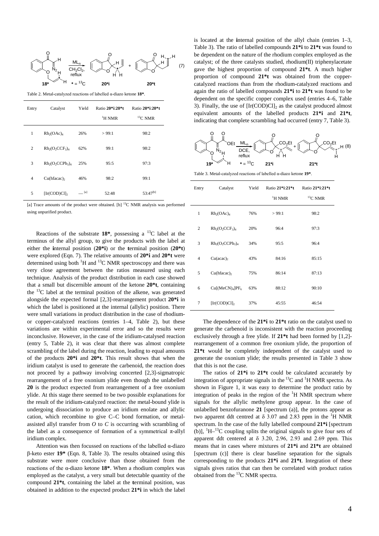

Table 2. Metal-catalyzed reactions of labelled α-diazo ketone **18\***.

| Entry          | Catalyst                  | Yield | Ratio 20*i:20*t<br>$\mathrm{^{1}H}$ NMR | Ratio 20*i:20*t<br>${}^{13}$ C NMR |
|----------------|---------------------------|-------|-----------------------------------------|------------------------------------|
| 1              | $Rh_2(OAc)_4$             | 26%   | >99:1                                   | 98:2                               |
| $\overline{2}$ | $Rh_2(O_2CCF_3)_4$        | 62%   | 99:1                                    | 98:2                               |
| 3              | $Rh_2(O_2CCPh_3)_4$       | 25%   | 95:5                                    | 97:3                               |
| 4              | $Cu(hfacac)$ <sub>2</sub> | 46%   | 98:2                                    | 99:1                               |
| 5              | $[Ir(COD)Cl]_2$           | [a]   | 52:48                                   | $53:47^{[b]}$                      |

[a] Trace amounts of the product were obtained. [b] <sup>13</sup>C NMR analysis was performed using unpurified product.

Reactions of the substrate  $18^*$ , possessing a <sup>13</sup>C label at the terminus of the allyl group, to give the products with the label at either the **i**nternal position (**20\*i**) or the **t**erminal position (**20\*t**) were explored (Eqn. 7). The relative amounts of **20\*i** and **20\*t** were determined using both  ${}^{1}H$  and  ${}^{13}C$  NMR spectroscopy and there was very close agreement between the ratios measured using each technique. Analysis of the product distribution in each case showed that a small but discernible amount of the ketone **20\*t**, containing the  $^{13}$ C label at the terminal position of the alkene, was generated alongside the expected formal [2,3]-rearrangement product **20\*i** in which the label is positioned at the internal (allylic) position. There were small variations in product distribution in the case of rhodiumor copper-catalyzed reactions (entries 1–4, Table 2), but these variations are within experimental error and so the results were inconclusive. However, in the case of the iridium-catalysed reaction (entry 5, Table 2), it was clear that there was almost complete scrambling of the label during the reaction, leading to equal amounts of the products **20\*i** and **20\*t**. This result shows that when the iridium catalyst is used to generate the carbenoid, the reaction does not proceed by a pathway involving concerted [2,3]-sigmatropic rearrangement of a free oxonium ylide even though the unlabelled **20** is the product expected from rearrangement of a free oxonium ylide. At this stage there seemed to be two possible explanations for the result of the iridium-catalyzed reaction: the metal-bound ylide is undergoing dissociation to produce an iridium enolate and allylic cation, which recombine to give C–C bond formation, or metalassisted allyl transfer from *O* to *C* is occurring with scrambling of the label as a consequence of formation of a symmetrical  $\pi$ -allyl iridium complex.

Attention was then focussed on reactions of the labelled α-diazo β-keto ester **19\*** (Eqn. 8, Table 3). The results obtained using this substrate were more conclusive than those obtained from the reactions of the α-diazo ketone **18\***. When a rhodium complex was employed as the catalyst, a very small but detectable quantity of the compound **21\*t**, containing the label at the **t**erminal position, was obtained in addition to the expected product **21\*i** in which the label is located at the **i**nternal position of the allyl chain (entries 1–3, Table 3). The ratio of labelled compounds **21\*i** to **21\*t** was found to be dependent on the nature of the rhodium complex employed as the catalyst; of the three catalysts studied, rhodium(II) triphenylacetate gave the highest proportion of compound **21\*t**. A much higher proportion of compound **21\*t** was obtained from the coppercatalyzed reactions than from the rhodium-catalyzed reactions and again the ratio of labelled compounds **21\*i** to **21\*t** was found to be dependent on the specific copper complex used (entries 4–6, Table 3). Finally, the use of  $[Ir(COD)Cl]_2$  as the catalyst produced almost equivalent amounts of the labelled products **21\*i** and **21\*t**, indicating that complete scrambling had occurred (entry 7, Table 3).



Table 3. Metal-catalyzed reactions of labelled α-diazo ketone **19\***.

| Entry          | Catalyst                                | Yield | Ratio 21*i:21*t      | Ratio 21*i:21*t |
|----------------|-----------------------------------------|-------|----------------------|-----------------|
|                |                                         |       | $\mathrm{^{1}H}$ NMR | ${}^{13}$ C NMR |
| $\mathbf{1}$   | $Rh_2(OAc)_4$                           | 76%   | >99:1                | 98:2            |
| $\overline{2}$ | $Rh_2(O_2CCF_3)_4$                      | 20%   | 96:4                 | 97:3            |
| 3              | $Rh_2(O_2CCPh_3)_4$                     | 34%   | 95:5                 | 96:4            |
| $\overline{4}$ | $Cu (acac)_2$                           | 43%   | 84:16                | 85:15           |
| 5              | Cu(hfacac)                              | 75%   | 86:14                | 87:13           |
| 6              | Cu[(MeCN) <sub>4</sub> ]PF <sub>6</sub> | 63%   | 88:12                | 90:10           |
| 7              | $[Ir(COD)Cl]_2$                         | 37%   | 45:55                | 46:54           |

The dependence of the **21\*i** to **21\*t** ratio on the catalyst used to generate the carbenoid is inconsistent with the reaction proceeding exclusively through a free ylide. If **21\*t** had been formed by [1,2] rearrangement of a common free oxonium ylide, the proportion of **21\*t** would be completely independent of the catalyst used to generate the oxonium ylide; the results presented in Table 3 show that this is not the case.

The ratios of **21\*i** to **21\*t** could be calculated accurately by integration of appropriate signals in the  ${}^{13}C$  and  ${}^{1}H$  NMR spectra. As shown in Figure 1, it was easy to determine the product ratio by integration of peaks in the region of the  ${}^{1}H$  NMR spectrum where signals for the allylic methylene group appear. In the case of unlabelled benzofuranone **21** [spectrum (a)], the protons appear as two apparent ddt centred at  $\delta$  3.07 and 2.83 ppm in the <sup>1</sup>H NMR spectrum. In the case of the fully labelled compound **21\*i** [spectrum (b)],  ${}^{1}H-{}^{13}C$  coupling splits the original signals to give four sets of apparent ddt centered at  $\delta$  3.20, 2.96, 2.93 and 2.69 ppm. This means that in cases where mixtures of **21\*i** and **21\*t** are obtained [spectrum (c)] there is clear baseline separation for the signals corresponding to the products **21\*i** and **21\*t**. Integration of these signals gives ratios that can then be correlated with product ratios obtained from the  ${}^{13}$ C NMR spectra.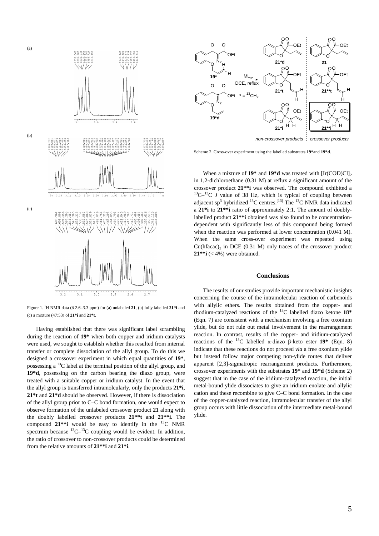

(c)

Figure 1. <sup>1</sup> H NMR data (δ 2.6–3.3 ppm) for (a) unlabeled **21**, (b) fully labelled **21\*i** and (c) a mixture (47:53) of **21\*i** and **21\*t**.

 $2.9$ 

 $2.8$ 

 $2.7$ 

 $3.0$ 

slo

ala

Having established that there was significant label scrambling during the reaction of **19\*** when both copper and iridium catalysts were used, we sought to establish whether this resulted from internal transfer or complete dissociation of the allyl group. To do this we designed a crossover experiment in which equal quantities of **19\***, possessing a 13C label at the terminal position of the allyl group, and **19\*d**, possessing on the carbon bearing the **d**iazo group, were treated with a suitable copper or iridium catalyst. In the event that the allyl group is transferred intramolcularly, only the products **21\*i**, **21\*t** and **21\*d** should be observed. However, if there is dissociation of the allyl group prior to C–C bond formation, one would expect to observe formation of the unlabeled crossover product **21** along with the doubly labelled crossover products **21\*\*t** and **21\*\*i**. The compound  $21**i$  would be easy to identify in the  $^{13}C$  NMR spectrum because  ${}^{13}C-{}^{13}C$  coupling would be evident. In addition, the ratio of crossover to non-crossover products could be determined from the relative amounts of **21\*\*i** and **21\*i**.



Scheme 2. Cross-over experiment using the labelled substrates **19\***and **19\*d**.

When a mixture of  $19*$  and  $19*d$  was treated with  $[Ir(COD)Cl]_2$ in 1,2-dichloroethane (0.31 M) at reflux a significant amount of the crossover product **21\*\*i** was observed. The compound exhibited a 13C–13C *<sup>J</sup>*value of 38 Hz, which is typical of coupling between adjacent sp<sup>3</sup> hybridized <sup>13</sup>C centres.<sup>[13]</sup> The <sup>13</sup>C NMR data indicated a **21\*i** to **21\*\*i** ratio of approximately 2:1. The amount of doublylabelled product **21\*\*i** obtained was also found to be concentrationdependent with significantly less of this compound being formed when the reaction was performed at lower concentration (0.041 M). When the same cross-over experiment was repeated using  $Cu(hfacac)_2$  in DCE (0.31 M) only traces of the crossover product **21\*\*i** (< 4%) were obtained.

## **Conclusions**

The results of our studies provide important mechanistic insights concerning the course of the intramolecular reaction of carbenoids with allylic ethers. The results obtained from the copper- and rhodium-catalyzed reactions of the 13C labelled diazo ketone **18\*** (Eqn. 7) are consistent with a mechanism involving a free oxonium ylide, but do not rule out metal involvement in the rearrangement reaction. In contrast, results of the copper- and iridium-catalyzed reactions of the <sup>13</sup>C labelled α-diazo β-keto ester **19\*** (Eqn. 8) indicate that these reactions do not proceed *via* a free oxonium ylide but instead follow major competing non-ylide routes that deliver apparent [2,3]-sigmatropic rearrangement products. Furthermore, crossover experiments with the substrates **19\*** and **19\*d** (Scheme 2) suggest that in the case of the iridium-catalyzed reaction, the initial metal-bound ylide dissociates to give an iridium enolate and allylic cation and these recombine to give C–C bond formation. In the case of the copper-catalyzed reaction, intramolecular transfer of the allyl group occurs with little dissociation of the intermediate metal-bound ylide.